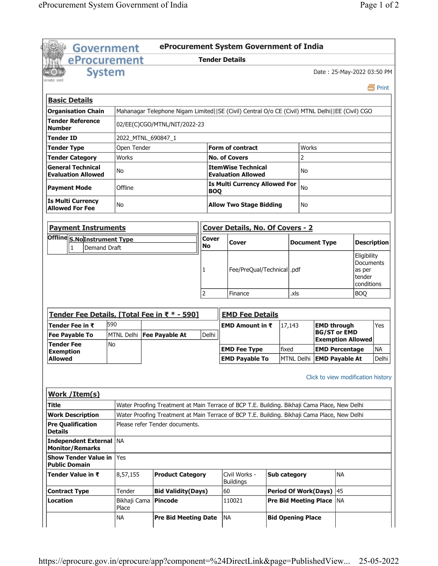| <b>Government</b>                                     |                                                                                              | eProcurement System Government of India                                                         |                                      |           |                                                        |  |                                             |                                    |                                           |                    |
|-------------------------------------------------------|----------------------------------------------------------------------------------------------|-------------------------------------------------------------------------------------------------|--------------------------------------|-----------|--------------------------------------------------------|--|---------------------------------------------|------------------------------------|-------------------------------------------|--------------------|
| eProcurement                                          |                                                                                              |                                                                                                 | <b>Tender Details</b>                |           |                                                        |  |                                             |                                    |                                           |                    |
| <b>System</b>                                         |                                                                                              |                                                                                                 |                                      |           |                                                        |  |                                             |                                    | Date: 25-May-2022 03:50 PM                |                    |
|                                                       |                                                                                              |                                                                                                 |                                      |           |                                                        |  |                                             |                                    |                                           | 昌 Print            |
| <b>Basic Details</b>                                  |                                                                                              |                                                                                                 |                                      |           |                                                        |  |                                             |                                    |                                           |                    |
|                                                       |                                                                                              |                                                                                                 |                                      |           |                                                        |  |                                             |                                    |                                           |                    |
| <b>Organisation Chain</b><br><b>Tender Reference</b>  |                                                                                              | Mahanagar Telephone Nigam Limited  SE (Civil) Central O/o CE (Civil) MTNL Delhi  EE (Civil) CGO |                                      |           |                                                        |  |                                             |                                    |                                           |                    |
| <b>Number</b>                                         |                                                                                              | 02/EE(C)CGO/MTNL/NIT/2022-23                                                                    |                                      |           |                                                        |  |                                             |                                    |                                           |                    |
| <b>Tender ID</b>                                      | 2022_MTNL_690847_1                                                                           |                                                                                                 |                                      |           |                                                        |  |                                             |                                    |                                           |                    |
| <b>Tender Type</b>                                    | Open Tender                                                                                  |                                                                                                 |                                      |           | <b>Form of contract</b>                                |  |                                             | Works                              |                                           |                    |
| <b>Tender Category</b>                                | Works                                                                                        |                                                                                                 |                                      |           | <b>No. of Covers</b>                                   |  |                                             | $\overline{2}$                     |                                           |                    |
| <b>General Technical</b><br><b>Evaluation Allowed</b> | No                                                                                           |                                                                                                 |                                      |           | <b>ItemWise Technical</b><br><b>Evaluation Allowed</b> |  |                                             | No                                 |                                           |                    |
| <b>Payment Mode</b>                                   | Offline                                                                                      |                                                                                                 | <b>BOQ</b>                           |           | <b>Is Multi Currency Allowed For</b>                   |  |                                             | <b>No</b>                          |                                           |                    |
| <b>Is Multi Currency</b><br><b>Allowed For Fee</b>    | No                                                                                           |                                                                                                 | <b>Allow Two Stage Bidding</b><br>No |           |                                                        |  |                                             |                                    |                                           |                    |
| <b>Payment Instruments</b>                            |                                                                                              |                                                                                                 |                                      |           | <b>Cover Details, No. Of Covers - 2</b>                |  |                                             |                                    |                                           |                    |
| Offline S.NoInstrument Type                           |                                                                                              |                                                                                                 | <b>Cover</b>                         |           |                                                        |  | <b>Document Type</b>                        |                                    | <b>Description</b>                        |                    |
| Demand Draft<br>1                                     |                                                                                              |                                                                                                 | No                                   |           | Cover                                                  |  |                                             |                                    |                                           | Eligibility        |
|                                                       |                                                                                              | Fee/PreQual/Technical .pdf<br>1                                                                 |                                      |           |                                                        |  | Documents<br>as per<br>tender<br>conditions |                                    |                                           |                    |
|                                                       |                                                                                              |                                                                                                 | $\overline{2}$                       |           | Finance                                                |  | .xls                                        |                                    | <b>BOO</b>                                |                    |
|                                                       |                                                                                              |                                                                                                 |                                      |           |                                                        |  |                                             |                                    |                                           |                    |
| Tender Fee Details, [Total Fee in ₹ * - 590]          |                                                                                              |                                                                                                 |                                      |           | <b>EMD Fee Details</b>                                 |  |                                             |                                    |                                           |                    |
| Tender Fee in ₹<br><b>Fee Payable To</b>              | 590<br>MTNL Delhi   Fee Payable At                                                           |                                                                                                 | Delhi                                |           | EMD Amount in ₹                                        |  | 17,143                                      |                                    | <b>EMD through</b><br><b>BG/ST or EMD</b> | Yes                |
| Tender Fee                                            | <b>No</b>                                                                                    |                                                                                                 |                                      |           |                                                        |  |                                             |                                    | <b>Exemption Allowed</b>                  |                    |
| <b>Exemption</b>                                      |                                                                                              |                                                                                                 |                                      |           | <b>EMD Fee Type</b>                                    |  | fixed                                       | MTNL Delhi EMD Payable At          | <b>EMD Percentage</b>                     | <b>NA</b><br>Delhi |
| <b>Allowed</b>                                        |                                                                                              |                                                                                                 |                                      |           | <b>EMD Payable To</b>                                  |  |                                             |                                    |                                           |                    |
|                                                       |                                                                                              |                                                                                                 |                                      |           |                                                        |  |                                             | Click to view modification history |                                           |                    |
| <b>Work / Item(s)</b>                                 |                                                                                              |                                                                                                 |                                      |           |                                                        |  |                                             |                                    |                                           |                    |
| <b>Title</b>                                          | Water Proofing Treatment at Main Terrace of BCP T.E. Building. Bikhaji Cama Place, New Delhi |                                                                                                 |                                      |           |                                                        |  |                                             |                                    |                                           |                    |
| <b>Work Description</b>                               |                                                                                              | Water Proofing Treatment at Main Terrace of BCP T.E. Building. Bikhaji Cama Place, New Delhi    |                                      |           |                                                        |  |                                             |                                    |                                           |                    |
| <b>Pre Qualification</b><br><b>Details</b>            |                                                                                              | Please refer Tender documents.                                                                  |                                      |           |                                                        |  |                                             |                                    |                                           |                    |
| Independent External   NA<br><b>Monitor/Remarks</b>   |                                                                                              |                                                                                                 |                                      |           |                                                        |  |                                             |                                    |                                           |                    |
| <b>Show Tender Value in</b><br><b>Public Domain</b>   | Yes                                                                                          |                                                                                                 |                                      |           |                                                        |  |                                             |                                    |                                           |                    |
| Tender Value in ₹                                     | 8,57,155                                                                                     | <b>Product Category</b>                                                                         |                                      |           | Civil Works -<br><b>Buildings</b>                      |  | <b>Sub category</b>                         |                                    | NA.                                       |                    |
| <b>Contract Type</b>                                  | Tender                                                                                       | <b>Bid Validity(Days)</b>                                                                       |                                      | 60        |                                                        |  |                                             | <b>Period Of Work(Days)</b>        | 45                                        |                    |
| <b>Location</b>                                       | Bikhaji Cama<br>Place                                                                        | Pincode                                                                                         |                                      |           | 110021                                                 |  |                                             | <b>Pre Bid Meeting Place</b>       | <b>NA</b>                                 |                    |
|                                                       | <b>NA</b>                                                                                    | <b>Pre Bid Meeting Date</b>                                                                     |                                      | <b>NA</b> |                                                        |  |                                             | <b>Bid Opening Place</b>           |                                           |                    |